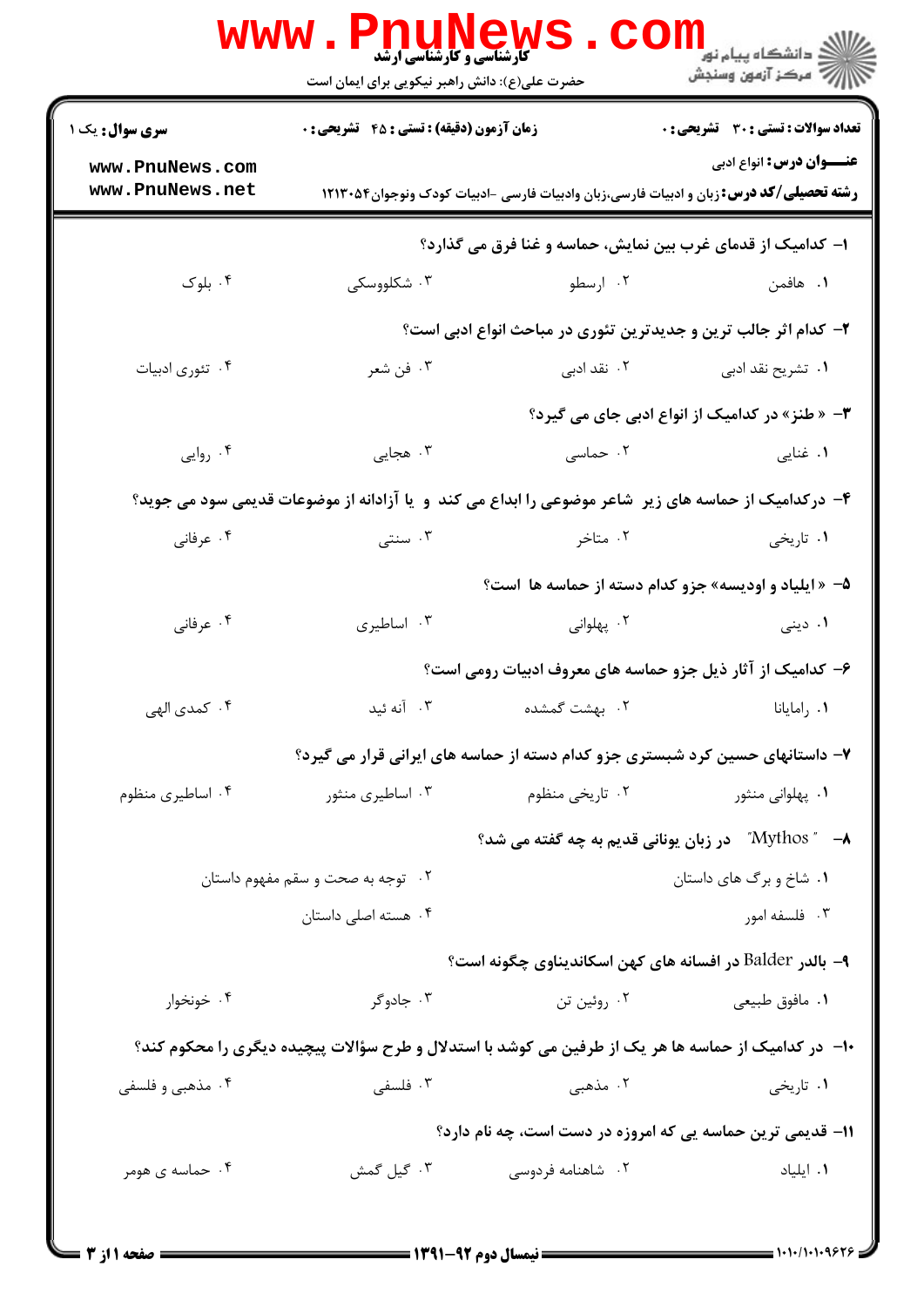|                                    | <b>WWW.PNUNews</b><br><b>کارشناسی و کارشناسی ارشد</b><br>حضرت علی(ع): دانش راهبر نیکویی برای ایمان است |                     | ران دانشگاه پيام نور <mark>− ا</mark><br>ا <b>ر</b> درکز آزمون وسنجش                                                             |
|------------------------------------|--------------------------------------------------------------------------------------------------------|---------------------|----------------------------------------------------------------------------------------------------------------------------------|
| <b>سری سوال :</b> یک ۱             | <b>زمان آزمون (دقیقه) : تستی : 45 تشریحی : 0</b>                                                       |                     | تعداد سوالات : تستي : 30 ٪ تشريحي : 0                                                                                            |
| www.PnuNews.com<br>www.PnuNews.net |                                                                                                        |                     | <b>عنـــوان درس:</b> انواع ادبی<br><b>رشته تحصیلی/کد درس:</b> زبان و ادبیات فارسی،زبان وادبیات فارسی -ادبیات کودک ونوجوان۱۲۱۳۰۵۴ |
|                                    |                                                                                                        |                     | ا– کدامیک از قدمای غرب بین نمایش، حماسه و غنا فرق می گذارد؟                                                                      |
| ۰۴ بلوک                            | ۰۳ شکلووسکی                                                                                            | ۰۲ ارسطو            | ۰۱ هافمن                                                                                                                         |
|                                    |                                                                                                        |                     | ۲- کدام اثر جالب ترین و جدیدترین تئوری در مباحث انواع ادبی است؟                                                                  |
| ۰۴ تئوري ادبيات                    | ۰۳ فن شعر                                                                                              | ۰۲ نقد ادب <i>ی</i> | ۰۱ تشریح نقد ادب <sub>ی</sub>                                                                                                    |
|                                    |                                                                                                        |                     | ۳- « طنز» در کدامیک از انواع ادبی جای می گیرد؟                                                                                   |
| ۰۴ روایی                           | ۰۳ هجایی                                                                                               | ۰۲ حماسی            | ۰۱ غنایی                                                                                                                         |
|                                    | ۴– درکدامیک از حماسه های زیر ًشاعر موضوعی را ابداع می کند. و یا آزادانه از موضوعات قدیمی سود می جوید؟  |                     |                                                                                                                                  |
| ۰۴ عرفانی                          | ۰۳ سنتی                                                                                                | ۰۲ متاخر            | ۰۱ تاریخی                                                                                                                        |
|                                    |                                                                                                        |                     | ۵- « ایلیاد و اودیسه» جزو کدام دسته از حماسه ها است؟                                                                             |
| ۰۴ عرفانی                          | ۰۳ اساطیری                                                                                             | ۰۲ پهلوانی          | ۰۱ دینی                                                                                                                          |
|                                    |                                                                                                        |                     | ۶– کدامیک از آثار ذیل جزو حماسه های معروف ادبیات رومی است؟                                                                       |
| ۰۴ کمدی الهی                       | ۰۳ آنه ئىد                                                                                             | ۰۲ بهشت گمشده       | ۰۱ رامایانا                                                                                                                      |
|                                    |                                                                                                        |                     | ۷– داستانهای حسین کرد شبستری جزو کدام دسته از حماسه های ایرانی قرار می گیرد؟                                                     |
| ۰۴ اساطیری منظوم                   | ۰۳ اساطیری منثور                                                                                       | ۰۲ تاریخی منظوم     | ۰۱ پهلوانی منثور                                                                                                                 |
|                                    |                                                                                                        |                     | ۸– ‴ Mythos" در زبان یونانی قدیم به چه گفته می شد؟                                                                               |
|                                    | ۰۲ توجه به صحت و سقم مفهوم داستان                                                                      |                     | ۰۱ شاخ و برگ های داستان                                                                                                          |
|                                    | ۰۴ هسته اصلی داستان                                                                                    |                     | ۰۳ فلسفه امور                                                                                                                    |
|                                    |                                                                                                        |                     | ۹- بالدر Balder در افسانه های کهن اسکاندیناوی چگونه است؟                                                                         |
| ۰۴ خونخوار                         | ۰۳ جادوگر                                                                                              | ۰۲ روئين تن         | ۰۱ مافوق طبیعی                                                                                                                   |
|                                    | ∙۱- در کدامیک از حماسه ها هر یک از طرفین می کوشد با استدلال و طرح سؤالات پیچیده دیگری را محکوم کند؟    |                     |                                                                                                                                  |
| ۰۴ مذهبی و فلسفی                   | ۰۳ فلسفی                                                                                               | ۰۲ مذهبی            | ۰۱ تاریخی                                                                                                                        |
|                                    |                                                                                                        |                     | 11- قدیمی ترین حماسه یی که امروزه در دست است، چه نام دارد؟                                                                       |
| ۰۴ حماسه ی هومر                    | ۰۳ گیل گمش                                                                                             | ۰۲ شاهنامه فردوسی   | ٠١. ايلياد                                                                                                                       |
|                                    |                                                                                                        |                     |                                                                                                                                  |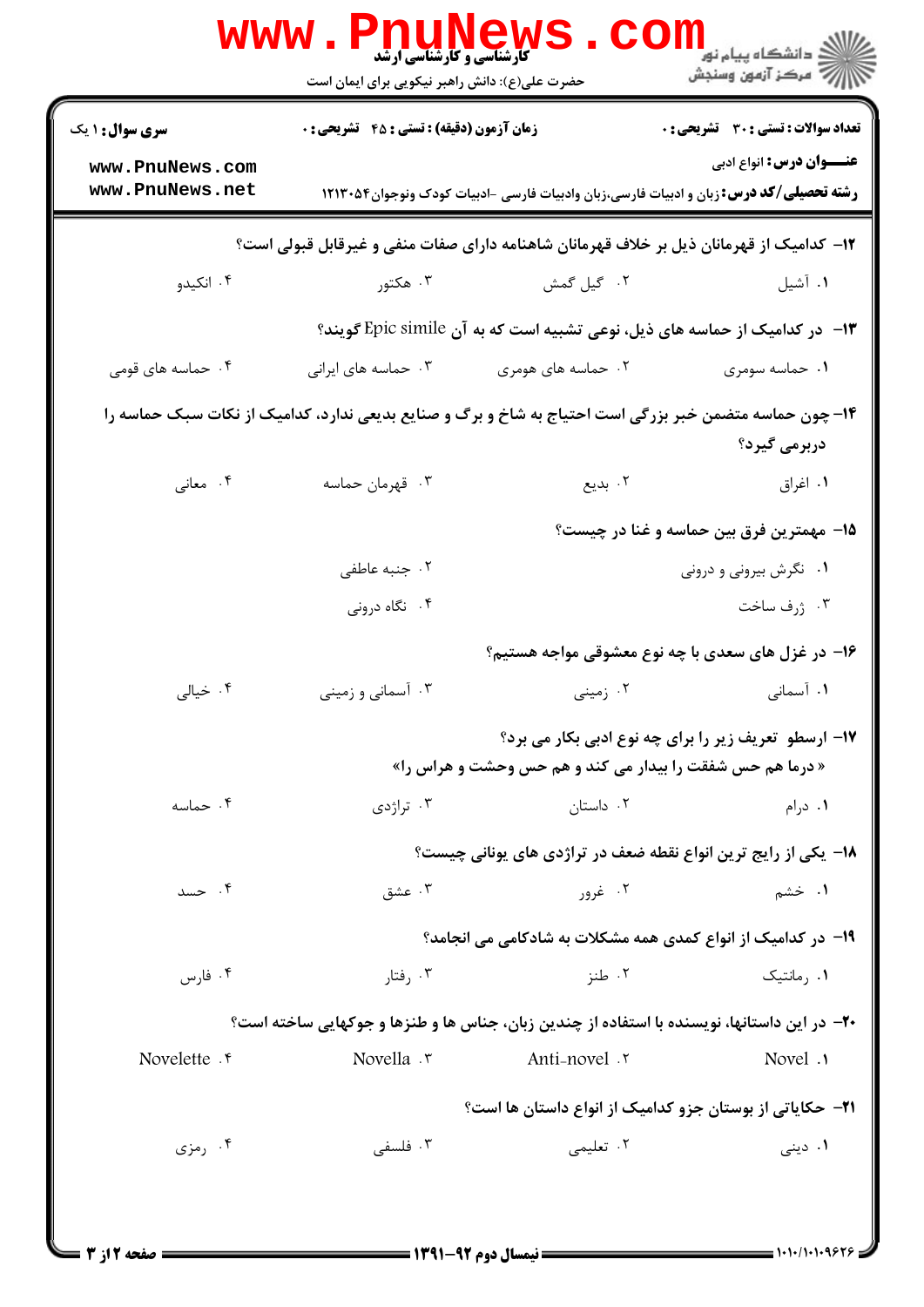| <b>سری سوال : ۱ یک</b> | <b>زمان آزمون (دقیقه) : تستی : 45 تشریحی : 0</b>                                                       |                                                                                               | <b>تعداد سوالات : تستی : 30 ٪ تشریحی : 0</b>                |
|------------------------|--------------------------------------------------------------------------------------------------------|-----------------------------------------------------------------------------------------------|-------------------------------------------------------------|
| www.PnuNews.com        |                                                                                                        |                                                                                               | <b>عنـــوان درس:</b> انواع ادبي                             |
| www.PnuNews.net        |                                                                                                        | <b>رشته تحصیلی/کد درس:</b> زبان و ادبیات فارسی،زبان وادبیات فارسی -ادبیات کودک ونوجوان۱۲۱۳۰۵۴ |                                                             |
|                        | ۱۲– کدامیک از قهرمانان ذیل بر خلاف قهرمانان شاهنامه دارای صفات منفی و غیرقابل قبولی است؟               |                                                                                               |                                                             |
| ۰۴ انکیدو              | ۰۳ هکتور                                                                                               | ٠٢ گيل گمش                                                                                    | ۰۱ آشیل                                                     |
|                        |                                                                                                        | ۱۳- در کدامیک از حماسه های ذیل، نوعی تشبیه است که به آن Epic simile گویند؟                    |                                                             |
| ۰۴ حماسه های قومی      | ۰۳ حماسه های ایرانی                                                                                    | ۰۲ حماسه های هومری                                                                            | ۰۱ حماسه سومری                                              |
|                        | ۱۴– چون حماسه متضمن خبر بزرگی است احتیاج به شاخ و برگ و صنایع بدیعی ندارد، کدامیک از نکات سبک حماسه را |                                                                                               |                                                             |
|                        |                                                                                                        |                                                                                               | دربرمی گیرد؟                                                |
| ۰۴ معانی               | ۰۳ قهرمان حماسه                                                                                        | ۰۲ بدیع                                                                                       | ۰۱ اغراق                                                    |
|                        | ۱۵– مهمترین فرق بین حماسه و غنا در چیست؟                                                               |                                                                                               |                                                             |
|                        | ۰۲ جنبه عاطفی                                                                                          |                                                                                               | ۰۱ نگرش بیرونی و درونی                                      |
|                        | ۰۴ نگاه درونی                                                                                          |                                                                                               | ۰۳ ژرف ساخت                                                 |
|                        |                                                                                                        |                                                                                               | ۱۶- در غزل های سعدی با چه نوع معشوقی مواجه هستیم؟           |
| ۰۴ خیالی               | ۰۳ آسمانی و زمینی                                                                                      | ۰۲ زمینی                                                                                      | ۰۱ آسمانی                                                   |
|                        |                                                                                                        |                                                                                               | <b>۱۷- ارسطو تعریف زیر را برای چه نوع ادبی بکار می برد؟</b> |
|                        |                                                                                                        | « درما هم حس شفقت را بیدار می کند و هم حس وحشت و هراس را»                                     |                                                             |
| ۰۴ حماسه               | ۰۳ تراژدی                                                                                              | ۰۲ داستان                                                                                     | ۰۱ درام                                                     |
|                        |                                                                                                        | ۱۸- یکی از رایج ترین انواع نقطه ضعف در تراژدی های یونانی چیست؟                                |                                                             |
| ۰۴ حسد                 | ۰۳ عشق                                                                                                 | ۲. غږور                                                                                       | ۱. خشم                                                      |
|                        |                                                                                                        | ۱۹- در کدامیک از انواع کمدی همه مشکلات به شادکامی می انجامد؟                                  |                                                             |
| ۰۴ فارس                | ۰۳ رفتار                                                                                               | ۰۲ طنز                                                                                        | ۰۱ , مانتیک                                                 |
|                        | +۲- در این داستانها، نویسنده با استفاده از چندین زبان، جناس ها و طنزها و جوکهایی ساخته است؟            |                                                                                               |                                                             |
| Novelette . e          | Novella .r                                                                                             | Anti-novel .r                                                                                 | Novel .                                                     |
|                        |                                                                                                        | <b>۲۱</b> – حکایاتی از بوستان جزو کدامیک از انواع داستان ها است؟                              |                                                             |
| ۰۴ رمزی                | ۰۳ فلسفی                                                                                               | ٢. تعليمي                                                                                     | ۰۱ دینی                                                     |